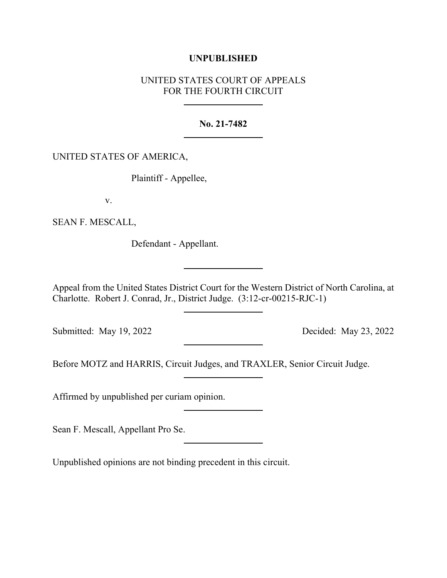## **UNPUBLISHED**

# UNITED STATES COURT OF APPEALS FOR THE FOURTH CIRCUIT

## **No. 21-7482**

## UNITED STATES OF AMERICA,

Plaintiff - Appellee,

v.

SEAN F. MESCALL,

Defendant - Appellant.

Appeal from the United States District Court for the Western District of North Carolina, at Charlotte. Robert J. Conrad, Jr., District Judge. (3:12-cr-00215-RJC-1)

Submitted: May 19, 2022 Decided: May 23, 2022

Before MOTZ and HARRIS, Circuit Judges, and TRAXLER, Senior Circuit Judge.

Affirmed by unpublished per curiam opinion.

Sean F. Mescall, Appellant Pro Se.

Unpublished opinions are not binding precedent in this circuit.